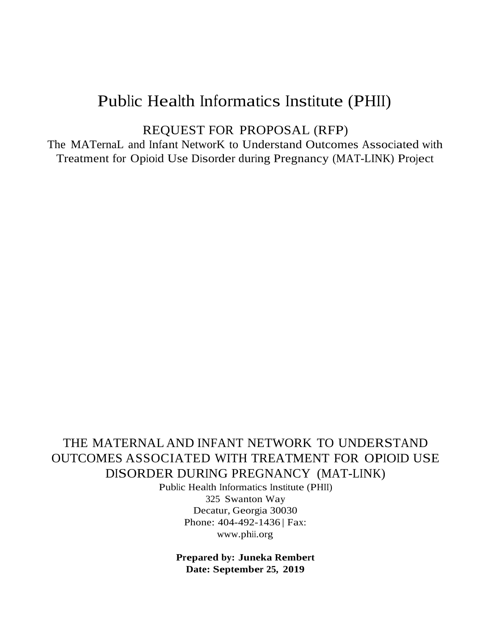# Public Health Informatics Institute (PHII)

REQUEST FOR PROPOSAL (RFP)

The MATernaL and Infant NetworK to Understand Outcomes Associated with Treatment for Opioid Use Disorder during Pregnancy (MAT-LINK) Project

# THE MATERNAL AND INFANT NETWORK TO UNDERSTAND OUTCOMES ASSOCIATED WITH TREATMENT FOR OPIOID USE DISORDER DURING PREGNANCY (MAT-LINK)

Public Health Informatics Institute (PHII) 325 Swanton Way Decatur, Georgia 30030 Phone: 404-492-1436 | Fax: [www.phii.org](http://www.phii.org/)

**Prepared by: Juneka Rembert Date: September 25, 2019**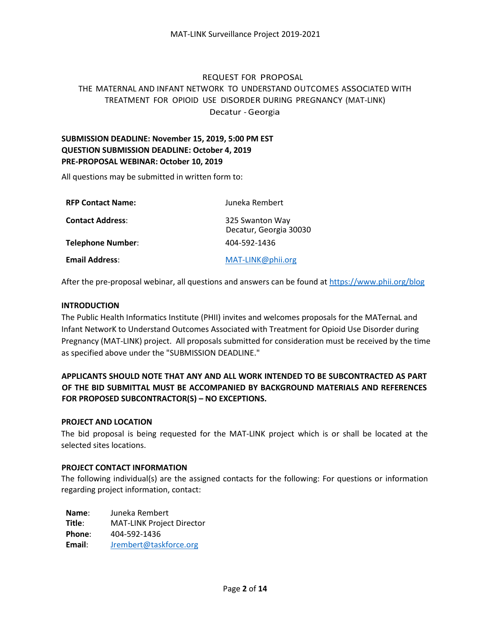#### REQUEST FOR PROPOSAL

#### THE MATERNAL AND INFANT NETWORK TO UNDERSTAND OUTCOMES ASSOCIATED WITH TREATMENT FOR OPIOID USE DISORDER DURING PREGNANCY (MAT-LINK) Decatur - Georgia

### **SUBMISSION DEADLINE: November 15, 2019, 5:00 PM EST QUESTION SUBMISSION DEADLINE: October 4, 2019 PRE-PROPOSAL WEBINAR: October 10, 2019**

All questions may be submitted in written form to:

| <b>RFP Contact Name:</b> | Juneka Rembert                            |
|--------------------------|-------------------------------------------|
| <b>Contact Address:</b>  | 325 Swanton Way<br>Decatur, Georgia 30030 |
| Telephone Number:        | 404-592-1436                              |
| <b>Email Address:</b>    | MAT-LINK@phii.org                         |

After the pre-proposal webinar, all questions and answers can be found a[t https://www.phii.org/blog](https://www.phii.org/blog)

#### **INTRODUCTION**

The Public Health Informatics Institute (PHII) invites and welcomes proposals for the MATernaL and Infant NetworK to Understand Outcomes Associated with Treatment for Opioid Use Disorder during Pregnancy (MAT-LINK) project. All proposals submitted for consideration must be received by the time as specified above under the "SUBMISSION DEADLINE."

#### **APPLICANTS SHOULD NOTE THAT ANY AND ALL WORK INTENDED TO BE SUBCONTRACTED AS PART OF THE BID SUBMITTAL MUST BE ACCOMPANIED BY BACKGROUND MATERIALS AND REFERENCES FOR PROPOSED SUBCONTRACTOR(S) – NO EXCEPTIONS.**

#### **PROJECT AND LOCATION**

The bid proposal is being requested for the MAT-LINK project which is or shall be located at the selected sites locations.

#### **PROJECT CONTACT INFORMATION**

The following individual(s) are the assigned contacts for the following: For questions or information regarding project information, contact:

**Name**: Juneka Rembert **Title**: MAT-LINK Project Director **Phone**: 404-592-1436 **Email**: [Jrembert@taskforce.org](mailto:Jrembert@taskforce.org)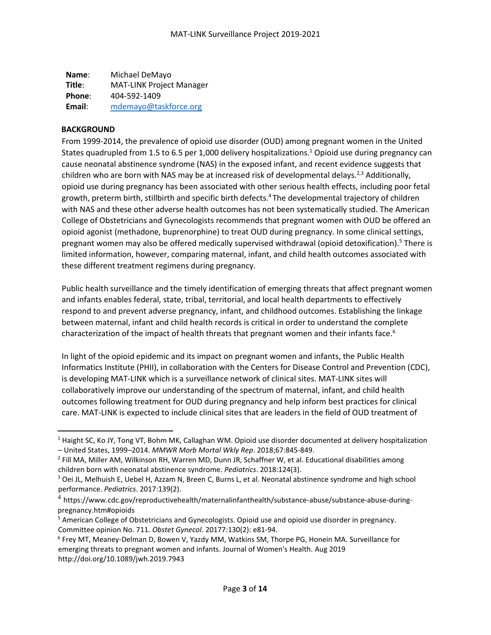**Name**: Michael DeMayo **Title**: MAT-LINK Project Manager **Phone**: 404-592-1409 **Email**: [mdemayo@taskforce.org](mailto:Jrembert@taskforce.org)

#### **BACKGROUND**

 $\overline{\phantom{a}}$ 

From 1999-2014, the prevalence of opioid use disorder (OUD) among pregnant women in the United States quadrupled from 1.5 to 6.5 per 1,000 delivery hospitalizations.<sup>1</sup> Opioid use during pregnancy can cause neonatal abstinence syndrome (NAS) in the exposed infant, and recent evidence suggests that children who are born with NAS may be at increased risk of developmental delays.<sup>2,3</sup> Additionally, opioid use during pregnancy has been associated with other serious health effects, including poor fetal growth, preterm birth, stillbirth and specific birth defects.<sup>4</sup> The developmental trajectory of children with NAS and these other adverse health outcomes has not been systematically studied. The American College of Obstetricians and Gynecologists recommends that pregnant women with OUD be offered an opioid agonist (methadone, buprenorphine) to treat OUD during pregnancy. In some clinical settings, pregnant women may also be offered medically supervised withdrawal (opioid detoxification).<sup>5</sup> There is limited information, however, comparing maternal, infant, and child health outcomes associated with these different treatment regimens during pregnancy.

Public health surveillance and the timely identification of emerging threats that affect pregnant women and infants enables federal, state, tribal, territorial, and local health departments to effectively respond to and prevent adverse pregnancy, infant, and childhood outcomes. Establishing the linkage between maternal, infant and child health records is critical in order to understand the complete characterization of the impact of health threats that pregnant women and their infants face.<sup>6</sup>

In light of the opioid epidemic and its impact on pregnant women and infants, the Public Health Informatics Institute (PHII), in collaboration with the Centers for Disease Control and Prevention (CDC), is developing MAT-LINK which is a surveillance network of clinical sites. MAT-LINK sites will collaboratively improve our understanding of the spectrum of maternal, infant, and child health outcomes following treatment for OUD during pregnancy and help inform best practices for clinical care. MAT-LINK is expected to include clinical sites that are leaders in the field of OUD treatment of

 $1$  Haight SC, Ko JY, Tong VT, Bohm MK, Callaghan WM. Opioid use disorder documented at delivery hospitalization – United States, 1999–2014. *MMWR Morb Mortal Wkly Rep*. 2018;67:845-849.

<sup>&</sup>lt;sup>2</sup> Fill MA, Miller AM, Wilkinson RH, Warren MD, Dunn JR, Schaffner W, et al. Educational disabilities among children born with neonatal abstinence syndrome. *Pediatrics*. 2018:124(3).

<sup>&</sup>lt;sup>3</sup> Oei JL, Melhuish E, Uebel H, Azzam N, Breen C, Burns L, et al. Neonatal abstinence syndrome and high school performance. *Pediatrics*. 2017:139(2).

 $^4$  https://www.cdc.gov/reproductivehealth/maternalinfanthealth/substance-abuse/substance-abuse-duringpregnancy.htm#opioids

<sup>&</sup>lt;sup>5</sup> American College of Obstetricians and Gynecologists. Opioid use and opioid use disorder in pregnancy. Committee opinion No. 711. *Obstet Gynecol.* 20177:130(2): e81-94.

<sup>6</sup> Frey MT, Meaney-Delman D, Bowen V, Yazdy MM, Watkins SM, Thorpe PG, Honein MA. Surveillance for emerging threats to pregnant women and infants. Journal of Women's Health. Aug 2019 http://doi.org/10.1089/jwh.2019.7943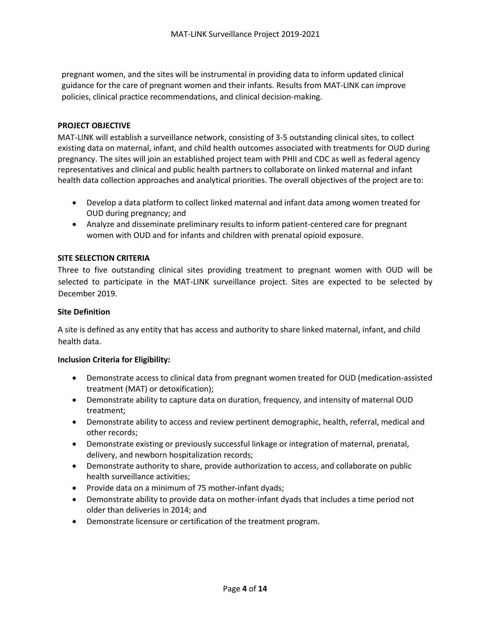pregnant women, and the sites will be instrumental in providing data to inform updated clinical guidance for the care of pregnant women and their infants. Results from MAT-LINK can improve policies, clinical practice recommendations, and clinical decision-making.

#### **PROJECT OBJECTIVE**

MAT-LINK will establish a surveillance network, consisting of 3-5 outstanding clinical sites, to collect existing data on maternal, infant, and child health outcomes associated with treatments for OUD during pregnancy. The sites will join an established project team with PHII and CDC as well as federal agency representatives and clinical and public health partners to collaborate on linked maternal and infant health data collection approaches and analytical priorities. The overall objectives of the project are to:

- Develop a data platform to collect linked maternal and infant data among women treated for OUD during pregnancy; and
- Analyze and disseminate preliminary results to inform patient-centered care for pregnant women with OUD and for infants and children with prenatal opioid exposure.

#### **SITE SELECTION CRITERIA**

Three to five outstanding clinical sites providing treatment to pregnant women with OUD will be selected to participate in the MAT-LINK surveillance project. Sites are expected to be selected by December 2019.

#### **Site Definition**

A site is defined as any entity that has access and authority to share linked maternal, infant, and child health data.

#### **Inclusion Criteria for Eligibility:**

- Demonstrate access to clinical data from pregnant women treated for OUD (medication-assisted treatment (MAT) or detoxification);
- Demonstrate ability to capture data on duration, frequency, and intensity of maternal OUD treatment;
- Demonstrate ability to access and review pertinent demographic, health, referral, medical and other records;
- Demonstrate existing or previously successful linkage or integration of maternal, prenatal, delivery, and newborn hospitalization records;
- Demonstrate authority to share, provide authorization to access, and collaborate on public health surveillance activities;
- Provide data on a minimum of 75 mother-infant dyads;
- Demonstrate ability to provide data on mother-infant dyads that includes a time period not older than deliveries in 2014; and
- Demonstrate licensure or certification of the treatment program.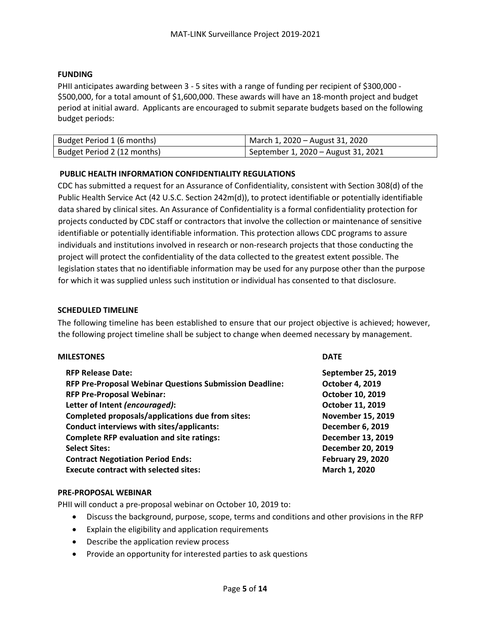#### **FUNDING**

PHII anticipates awarding between 3 - 5 sites with a range of funding per recipient of \$300,000 - \$500,000, for a total amount of \$1,600,000. These awards will have an 18-month project and budget period at initial award. Applicants are encouraged to submit separate budgets based on the following budget periods:

| Budget Period 1 (6 months)  | March 1, 2020 – August 31, 2020     |
|-----------------------------|-------------------------------------|
| Budget Period 2 (12 months) | September 1, 2020 – August 31, 2021 |

#### **PUBLIC HEALTH INFORMATION CONFIDENTIALITY REGULATIONS**

CDC has submitted a request for an Assurance of Confidentiality, consistent with Section 308(d) of the Public Health Service Act (42 U.S.C. Section 242m(d)), to protect identifiable or potentially identifiable data shared by clinical sites. An Assurance of Confidentiality is a formal confidentiality protection for projects conducted by CDC staff or contractors that involve the collection or maintenance of sensitive identifiable or potentially identifiable information. This protection allows CDC programs to assure individuals and institutions involved in research or non-research projects that those conducting the project will protect the confidentiality of the data collected to the greatest extent possible. The legislation states that no identifiable information may be used for any purpose other than the purpose for which it was supplied unless such institution or individual has consented to that disclosure.

#### **SCHEDULED TIMELINE**

The following timeline has been established to ensure that our project objective is achieved; however, the following project timeline shall be subject to change when deemed necessary by management.

#### **MILESTONES DATE**

| <b>RFP Release Date:</b>                                | September 25, 2019       |
|---------------------------------------------------------|--------------------------|
| RFP Pre-Proposal Webinar Questions Submission Deadline: | October 4, 2019          |
| <b>RFP Pre-Proposal Webinar:</b>                        | October 10, 2019         |
| Letter of Intent (encouraged):                          | October 11, 2019         |
| Completed proposals/applications due from sites:        | <b>November 15, 2019</b> |
| Conduct interviews with sites/applicants:               | <b>December 6, 2019</b>  |
| <b>Complete RFP evaluation and site ratings:</b>        | December 13, 2019        |
| <b>Select Sites:</b>                                    | <b>December 20, 2019</b> |
| <b>Contract Negotiation Period Ends:</b>                | <b>February 29, 2020</b> |
| <b>Execute contract with selected sites:</b>            | March 1, 2020            |

#### **PRE-PROPOSAL WEBINAR**

PHII will conduct a pre-proposal webinar on October 10, 2019 to:

- Discuss the background, purpose, scope, terms and conditions and other provisions in the RFP
- Explain the eligibility and application requirements
- Describe the application review process
- Provide an opportunity for interested parties to ask questions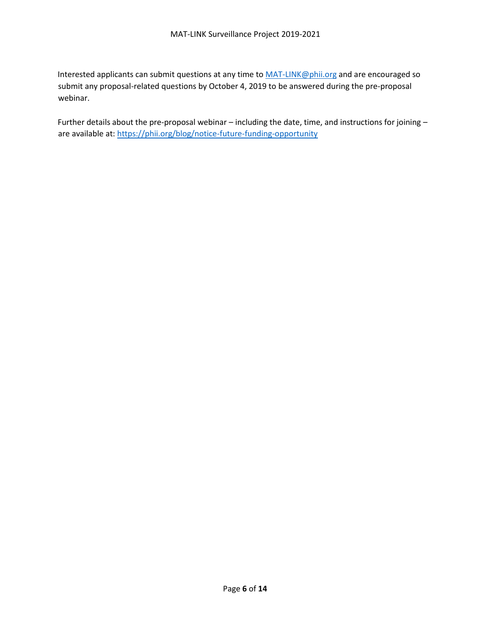Interested applicants can submit questions at any time to [MAT-LINK@phii.org](mailto:MAT-LINK@phii.org) and are encouraged so submit any proposal-related questions by October 4, 2019 to be answered during the pre-proposal webinar.

Further details about the pre-proposal webinar – including the date, time, and instructions for joining – are available at: <https://phii.org/blog/notice-future-funding-opportunity>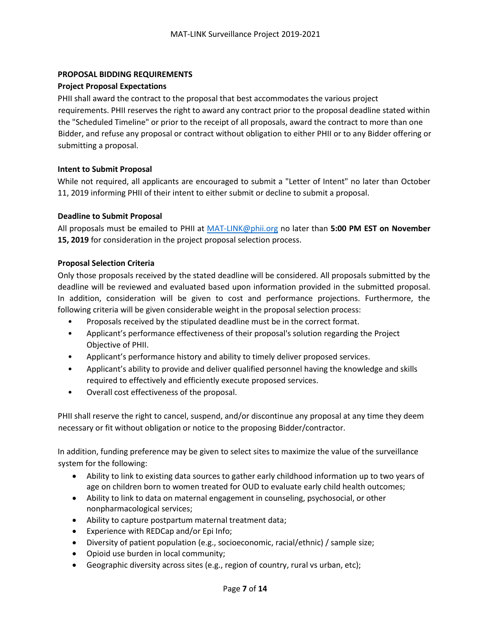#### **PROPOSAL BIDDING REQUIREMENTS**

#### **Project Proposal Expectations**

PHII shall award the contract to the proposal that best accommodates the various project requirements. PHII reserves the right to award any contract prior to the proposal deadline stated within the "Scheduled Timeline" or prior to the receipt of all proposals, award the contract to more than one Bidder, and refuse any proposal or contract without obligation to either PHII or to any Bidder offering or submitting a proposal.

#### **Intent to Submit Proposal**

While not required, all applicants are encouraged to submit a "Letter of Intent" no later than October 11, 2019 informing PHII of their intent to either submit or decline to submit a proposal.

#### **Deadline to Submit Proposal**

All proposals must be emailed to PHII at [MAT-LINK@phii.org](mailto:MAT-LINK@phii.org) no later than **5:00 PM EST on November 15, 2019** for consideration in the project proposal selection process.

#### **Proposal Selection Criteria**

Only those proposals received by the stated deadline will be considered. All proposals submitted by the deadline will be reviewed and evaluated based upon information provided in the submitted proposal. In addition, consideration will be given to cost and performance projections. Furthermore, the following criteria will be given considerable weight in the proposal selection process:

- Proposals received by the stipulated deadline must be in the correct format.
- Applicant's performance effectiveness of their proposal's solution regarding the Project Objective of PHII.
- Applicant's performance history and ability to timely deliver proposed services.
- Applicant's ability to provide and deliver qualified personnel having the knowledge and skills required to effectively and efficiently execute proposed services.
- Overall cost effectiveness of the proposal.

PHII shall reserve the right to cancel, suspend, and/or discontinue any proposal at any time they deem necessary or fit without obligation or notice to the proposing Bidder/contractor.

In addition, funding preference may be given to select sites to maximize the value of the surveillance system for the following:

- Ability to link to existing data sources to gather early childhood information up to two years of age on children born to women treated for OUD to evaluate early child health outcomes;
- Ability to link to data on maternal engagement in counseling, psychosocial, or other nonpharmacological services;
- Ability to capture postpartum maternal treatment data;
- Experience with REDCap and/or Epi Info;
- Diversity of patient population (e.g., socioeconomic, racial/ethnic) / sample size;
- Opioid use burden in local community;
- Geographic diversity across sites (e.g., region of country, rural vs urban, etc);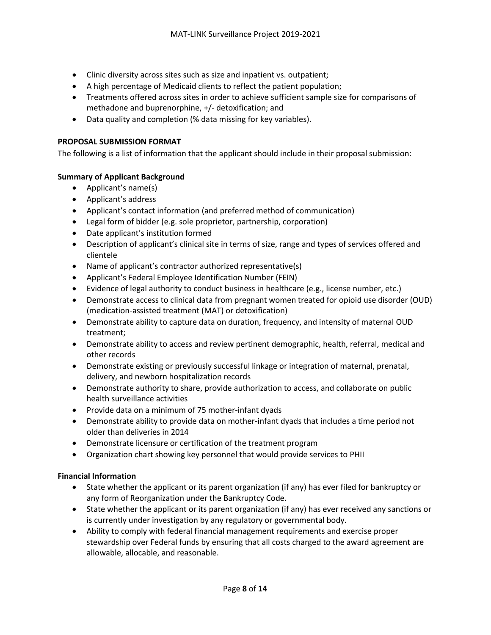- Clinic diversity across sites such as size and inpatient vs. outpatient;
- A high percentage of Medicaid clients to reflect the patient population;
- Treatments offered across sites in order to achieve sufficient sample size for comparisons of methadone and buprenorphine, +/- detoxification; and
- Data quality and completion (% data missing for key variables).

#### **PROPOSAL SUBMISSION FORMAT**

The following is a list of information that the applicant should include in their proposal submission:

#### **Summary of Applicant Background**

- Applicant's name(s)
- Applicant's address
- Applicant's contact information (and preferred method of communication)
- Legal form of bidder (e.g. sole proprietor, partnership, corporation)
- Date applicant's institution formed
- Description of applicant's clinical site in terms of size, range and types of services offered and clientele
- Name of applicant's contractor authorized representative(s)
- Applicant's Federal Employee Identification Number (FEIN)
- Evidence of legal authority to conduct business in healthcare (e.g., license number, etc.)
- Demonstrate access to clinical data from pregnant women treated for opioid use disorder (OUD) (medication-assisted treatment (MAT) or detoxification)
- Demonstrate ability to capture data on duration, frequency, and intensity of maternal OUD treatment;
- Demonstrate ability to access and review pertinent demographic, health, referral, medical and other records
- Demonstrate existing or previously successful linkage or integration of maternal, prenatal, delivery, and newborn hospitalization records
- Demonstrate authority to share, provide authorization to access, and collaborate on public health surveillance activities
- Provide data on a minimum of 75 mother-infant dyads
- Demonstrate ability to provide data on mother-infant dyads that includes a time period not older than deliveries in 2014
- Demonstrate licensure or certification of the treatment program
- Organization chart showing key personnel that would provide services to PHII

#### **Financial Information**

- State whether the applicant or its parent organization (if any) has ever filed for bankruptcy or any form of Reorganization under the Bankruptcy Code.
- State whether the applicant or its parent organization (if any) has ever received any sanctions or is currently under investigation by any regulatory or governmental body.
- Ability to comply with federal financial management requirements and exercise proper stewardship over Federal funds by ensuring that all costs charged to the award agreement are allowable, allocable, and reasonable.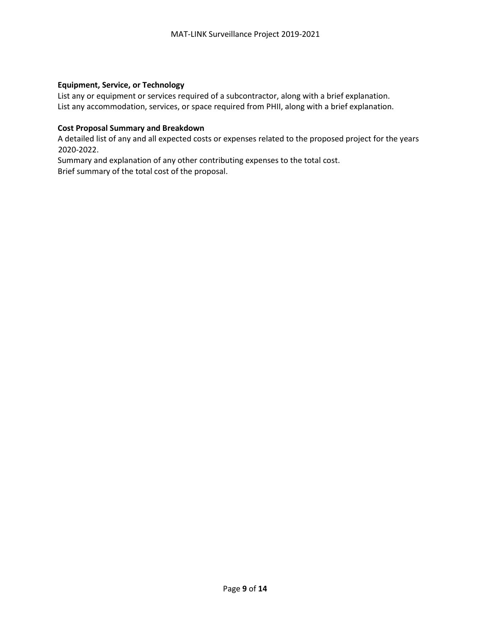#### **Equipment, Service, or Technology**

List any or equipment or services required of a subcontractor, along with a brief explanation. List any accommodation, services, or space required from PHII, along with a brief explanation.

#### **Cost Proposal Summary and Breakdown**

A detailed list of any and all expected costs or expenses related to the proposed project for the years 2020-2022.

Summary and explanation of any other contributing expenses to the total cost. Brief summary of the total cost of the proposal.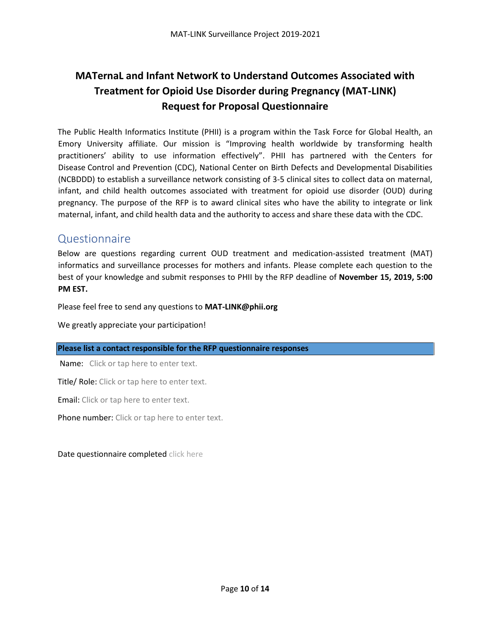# **MATernaL and Infant NetworK to Understand Outcomes Associated with Treatment for Opioid Use Disorder during Pregnancy (MAT-LINK) Request for Proposal Questionnaire**

The Public Health Informatics Institute (PHII) is a program within the Task Force for Global Health, an Emory University affiliate. Our mission is "Improving health worldwide by transforming health practitioners' ability to use information effectively". PHII has partnered with the Centers for Disease Control and Prevention (CDC), National Center on Birth Defects and Developmental Disabilities (NCBDDD) to establish a surveillance network consisting of 3-5 clinical sites to collect data on maternal, infant, and child health outcomes associated with treatment for opioid use disorder (OUD) during pregnancy. The purpose of the RFP is to award clinical sites who have the ability to integrate or link maternal, infant, and child health data and the authority to access and share these data with the CDC.

# Questionnaire

Below are questions regarding current OUD treatment and medication-assisted treatment (MAT) informatics and surveillance processes for mothers and infants. Please complete each question to the best of your knowledge and submit responses to PHII by the RFP deadline of **November 15, 2019, 5:00 PM EST.**

Please feel free to send any questions to **[MAT-LINK@phii.org](mailto:MAT-LINK@phii.org)**

We greatly appreciate your participation!

#### **Please list a contact responsible for the RFP questionnaire responses**

Name: Click or tap here to enter text.

Title/ Role: Click or tap here to enter text.

Email: Click or tap here to enter text.

Phone number: Click or tap here to enter text.

Date questionnaire completed click here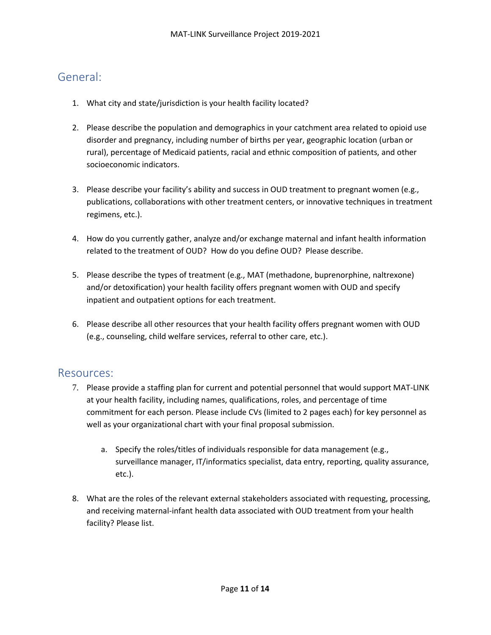# General:

- 1. What city and state/jurisdiction is your health facility located?
- 2. Please describe the population and demographics in your catchment area related to opioid use disorder and pregnancy, including number of births per year, geographic location (urban or rural), percentage of Medicaid patients, racial and ethnic composition of patients, and other socioeconomic indicators.
- 3. Please describe your facility's ability and success in OUD treatment to pregnant women (e.g., publications, collaborations with other treatment centers, or innovative techniques in treatment regimens, etc.).
- 4. How do you currently gather, analyze and/or exchange maternal and infant health information related to the treatment of OUD? How do you define OUD? Please describe.
- 5. Please describe the types of treatment (e.g., MAT (methadone, buprenorphine, naltrexone) and/or detoxification) your health facility offers pregnant women with OUD and specify inpatient and outpatient options for each treatment.
- 6. Please describe all other resources that your health facility offers pregnant women with OUD (e.g., counseling, child welfare services, referral to other care, etc.).

### Resources:

- 7. Please provide a staffing plan for current and potential personnel that would support MAT-LINK at your health facility, including names, qualifications, roles, and percentage of time commitment for each person. Please include CVs (limited to 2 pages each) for key personnel as well as your organizational chart with your final proposal submission.
	- a. Specify the roles/titles of individuals responsible for data management (e.g., surveillance manager, IT/informatics specialist, data entry, reporting, quality assurance, etc.).
- 8. What are the roles of the relevant external stakeholders associated with requesting, processing, and receiving maternal-infant health data associated with OUD treatment from your health facility? Please list.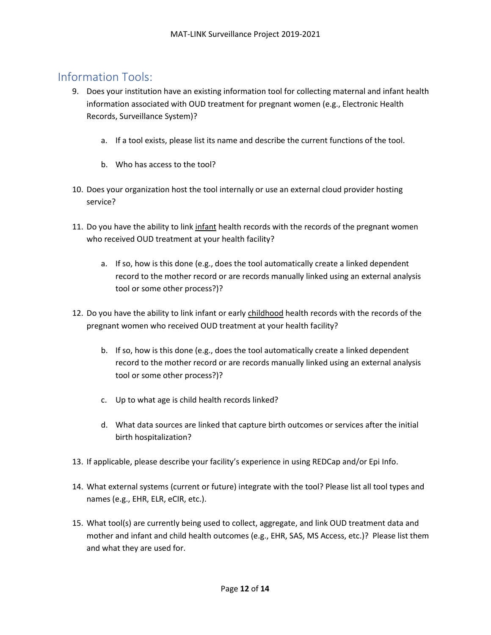# Information Tools:

- 9. Does your institution have an existing information tool for collecting maternal and infant health information associated with OUD treatment for pregnant women (e.g., Electronic Health Records, Surveillance System)?
	- a. If a tool exists, please list its name and describe the current functions of the tool.
	- b. Who has access to the tool?
- 10. Does your organization host the tool internally or use an external cloud provider hosting service?
- 11. Do you have the ability to link infant health records with the records of the pregnant women who received OUD treatment at your health facility?
	- a. If so, how is this done (e.g., does the tool automatically create a linked dependent record to the mother record or are records manually linked using an external analysis tool or some other process?)?
- 12. Do you have the ability to link infant or early childhood health records with the records of the pregnant women who received OUD treatment at your health facility?
	- b. If so, how is this done (e.g., does the tool automatically create a linked dependent record to the mother record or are records manually linked using an external analysis tool or some other process?)?
	- c. Up to what age is child health records linked?
	- d. What data sources are linked that capture birth outcomes or services after the initial birth hospitalization?
- 13. If applicable, please describe your facility's experience in using REDCap and/or Epi Info.
- 14. What external systems (current or future) integrate with the tool? Please list all tool types and names (e.g., EHR, ELR, eCIR, etc.).
- 15. What tool(s) are currently being used to collect, aggregate, and link OUD treatment data and mother and infant and child health outcomes (e.g., EHR, SAS, MS Access, etc.)? Please list them and what they are used for.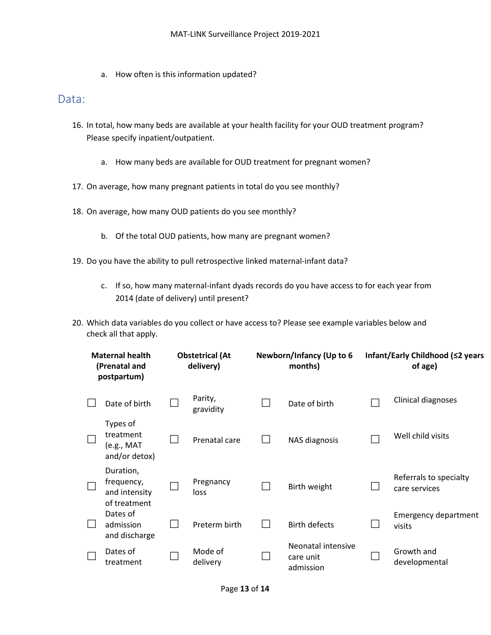a. How often is this information updated?

### Data:

- 16. In total, how many beds are available at your health facility for your OUD treatment program? Please specify inpatient/outpatient.
	- a. How many beds are available for OUD treatment for pregnant women?
- 17. On average, how many pregnant patients in total do you see monthly?
- 18. On average, how many OUD patients do you see monthly?
	- b. Of the total OUD patients, how many are pregnant women?
- 19. Do you have the ability to pull retrospective linked maternal-infant data?
	- c. If so, how many maternal-infant dyads records do you have access to for each year from 2014 (date of delivery) until present?
- 20. Which data variables do you collect or have access to? Please see example variables below and check all that apply.

| <b>Maternal health</b><br>(Prenatal and<br>postpartum) |                                                          | <b>Obstetrical (At</b><br>delivery) |                      | Newborn/Infancy (Up to 6<br>months) |                                              | Infant/Early Childhood (≤2 years<br>of age) |                                         |
|--------------------------------------------------------|----------------------------------------------------------|-------------------------------------|----------------------|-------------------------------------|----------------------------------------------|---------------------------------------------|-----------------------------------------|
|                                                        | Date of birth                                            |                                     | Parity,<br>gravidity |                                     | Date of birth                                |                                             | Clinical diagnoses                      |
|                                                        | Types of<br>treatment<br>$(e.g., MAT$<br>and/or detox)   |                                     | Prenatal care        |                                     | NAS diagnosis                                |                                             | Well child visits                       |
|                                                        | Duration,<br>frequency,<br>and intensity<br>of treatment |                                     | Pregnancy<br>loss    |                                     | Birth weight                                 |                                             | Referrals to specialty<br>care services |
|                                                        | Dates of<br>admission<br>and discharge                   |                                     | Preterm birth        |                                     | <b>Birth defects</b>                         |                                             | <b>Emergency department</b><br>visits   |
|                                                        | Dates of<br>treatment                                    |                                     | Mode of<br>delivery  |                                     | Neonatal intensive<br>care unit<br>admission |                                             | Growth and<br>developmental             |